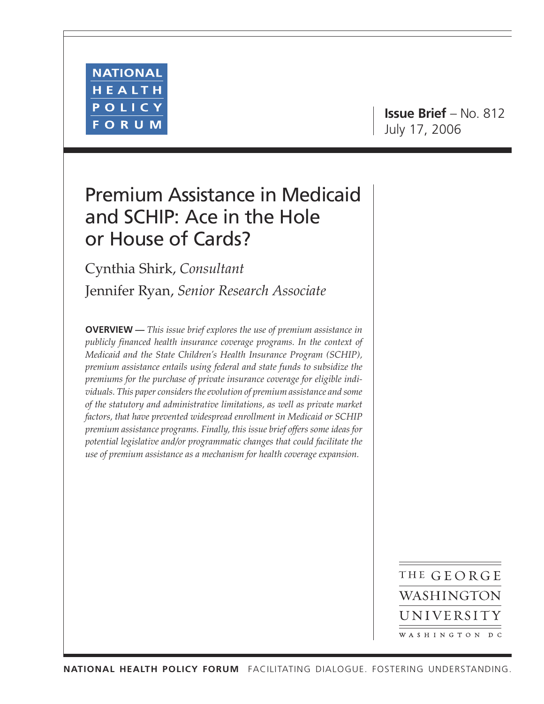

**Issue Brief** – No. 812 July 17, 2006

# Premium Assistance in Medicaid and SCHIP: Ace in the Hole or House of Cards?

Cynthia Shirk, *Consultant*

Jennifer Ryan, *Senior Research Associate*

**OVERVIEW —** *This issue brief explores the use of premium assistance in publicly financed health insurance coverage programs. In the context of Medicaid and the State Children's Health Insurance Program (SCHIP), premium assistance entails using federal and state funds to subsidize the premiums for the purchase of private insurance coverage for eligible individuals. This paper considers the evolution of premium assistance and some of the statutory and administrative limitations, as well as private market factors, that have prevented widespread enrollment in Medicaid or SCHIP premium assistance programs. Finally, this issue brief offers some ideas for potential legislative and/or programmatic changes that could facilitate the use of premium assistance as a mechanism for health coverage expansion.*

> THE GEORGE WASHINGTON UNIVERSITY WASHINGTON DC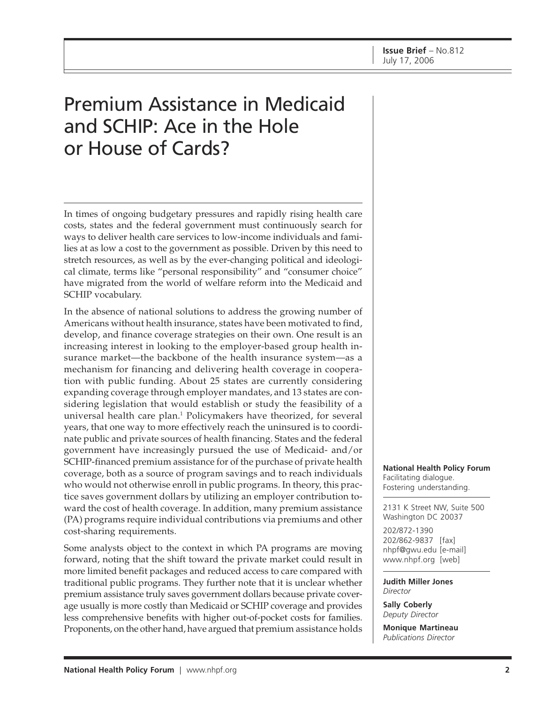# Premium Assistance in Medicaid and SCHIP: Ace in the Hole or House of Cards?

In times of ongoing budgetary pressures and rapidly rising health care costs, states and the federal government must continuously search for ways to deliver health care services to low-income individuals and families at as low a cost to the government as possible. Driven by this need to stretch resources, as well as by the ever-changing political and ideological climate, terms like "personal responsibility" and "consumer choice" have migrated from the world of welfare reform into the Medicaid and SCHIP vocabulary.

In the absence of national solutions to address the growing number of Americans without health insurance, states have been motivated to find, develop, and finance coverage strategies on their own. One result is an increasing interest in looking to the employer-based group health insurance market—the backbone of the health insurance system—as a mechanism for financing and delivering health coverage in cooperation with public funding. About 25 states are currently considering expanding coverage through employer mandates, and 13 states are considering legislation that would establish or study the feasibility of a universal health care plan.<sup>1</sup> Policymakers have theorized, for several years, that one way to more effectively reach the uninsured is to coordinate public and private sources of health financing. States and the federal government have increasingly pursued the use of Medicaid- and/or SCHIP-financed premium assistance for of the purchase of private health coverage, both as a source of program savings and to reach individuals who would not otherwise enroll in public programs. In theory, this practice saves government dollars by utilizing an employer contribution toward the cost of health coverage. In addition, many premium assistance (PA) programs require individual contributions via premiums and other cost-sharing requirements.

Some analysts object to the context in which PA programs are moving forward, noting that the shift toward the private market could result in more limited benefit packages and reduced access to care compared with traditional public programs. They further note that it is unclear whether premium assistance truly saves government dollars because private coverage usually is more costly than Medicaid or SCHIP coverage and provides less comprehensive benefits with higher out-of-pocket costs for families. Proponents, on the other hand, have argued that premium assistance holds

**National Health Policy Forum** Facilitating dialogue. Fostering understanding.

2131 K Street NW, Suite 500 Washington DC 20037

202/872-1390 202/862-9837 [fax] [nhpf@gwu.edu \[e](mailto:nhpf@gwu.edu)-mail] [www.nhpf.org \[w](http://www.nhpf.org)eb]

**Judith Miller Jones** *Director*

**Sally Coberly** *Deputy Director*

**Monique Martineau** *Publications Director*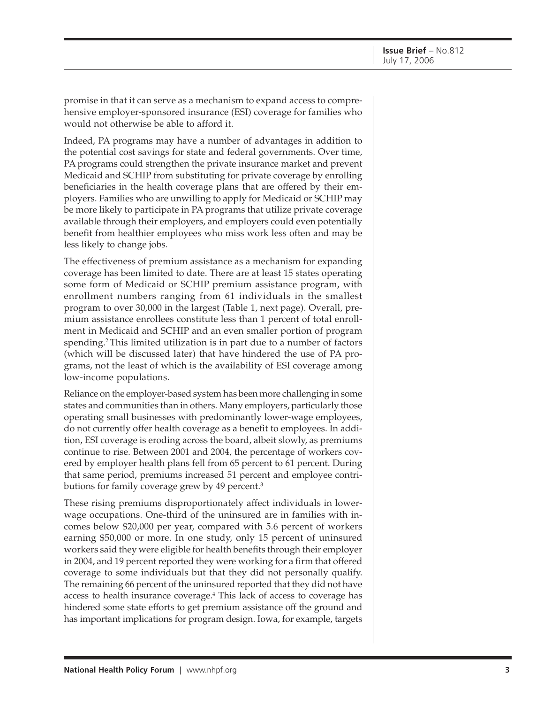promise in that it can serve as a mechanism to expand access to comprehensive employer-sponsored insurance (ESI) coverage for families who would not otherwise be able to afford it.

Indeed, PA programs may have a number of advantages in addition to the potential cost savings for state and federal governments. Over time, PA programs could strengthen the private insurance market and prevent Medicaid and SCHIP from substituting for private coverage by enrolling beneficiaries in the health coverage plans that are offered by their employers. Families who are unwilling to apply for Medicaid or SCHIP may be more likely to participate in PA programs that utilize private coverage available through their employers, and employers could even potentially benefit from healthier employees who miss work less often and may be less likely to change jobs.

The effectiveness of premium assistance as a mechanism for expanding coverage has been limited to date. There are at least 15 states operating some form of Medicaid or SCHIP premium assistance program, with enrollment numbers ranging from 61 individuals in the smallest program to over 30,000 in the largest (Table 1, next page). Overall, premium assistance enrollees constitute less than 1 percent of total enrollment in Medicaid and SCHIP and an even smaller portion of program spending.<sup>2</sup> This limited utilization is in part due to a number of factors (which will be discussed later) that have hindered the use of PA programs, not the least of which is the availability of ESI coverage among low-income populations.

Reliance on the employer-based system has been more challenging in some states and communities than in others. Many employers, particularly those operating small businesses with predominantly lower-wage employees, do not currently offer health coverage as a benefit to employees. In addition, ESI coverage is eroding across the board, albeit slowly, as premiums continue to rise. Between 2001 and 2004, the percentage of workers covered by employer health plans fell from 65 percent to 61 percent. During that same period, premiums increased 51 percent and employee contributions for family coverage grew by 49 percent.<sup>3</sup>

These rising premiums disproportionately affect individuals in lowerwage occupations. One-third of the uninsured are in families with incomes below \$20,000 per year, compared with 5.6 percent of workers earning \$50,000 or more. In one study, only 15 percent of uninsured workers said they were eligible for health benefits through their employer in 2004, and 19 percent reported they were working for a firm that offered coverage to some individuals but that they did not personally qualify. The remaining 66 percent of the uninsured reported that they did not have access to health insurance coverage.4 This lack of access to coverage has hindered some state efforts to get premium assistance off the ground and has important implications for program design. Iowa, for example, targets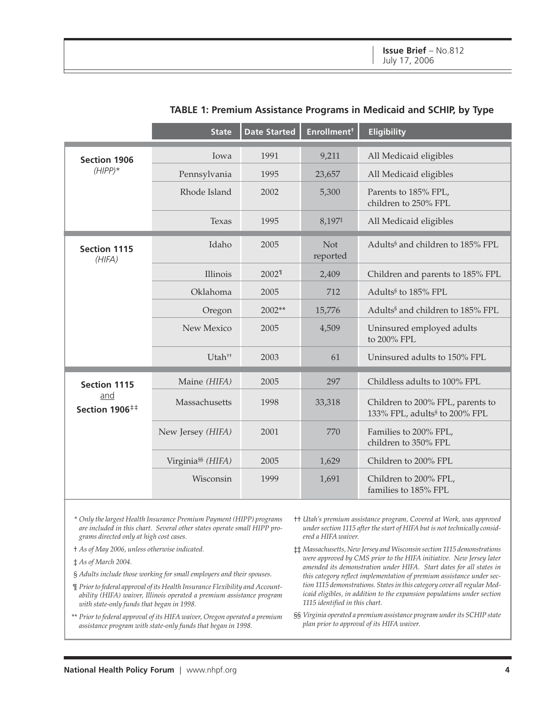|                                   | <b>State</b>                  | <b>Date Started</b> | Enrollment <sup>†</sup> | <b>Eligibility</b>                                                            |
|-----------------------------------|-------------------------------|---------------------|-------------------------|-------------------------------------------------------------------------------|
| <b>Section 1906</b>               | Iowa                          | 1991                | 9,211                   | All Medicaid eligibles                                                        |
| $(HIPP)*$                         | Pennsylvania                  | 1995                | 23,657                  | All Medicaid eligibles                                                        |
|                                   | Rhode Island                  | 2002                | 5,300                   | Parents to 185% FPL,<br>children to 250% FPL                                  |
|                                   | Texas                         | 1995                | 8,197#                  | All Medicaid eligibles                                                        |
| <b>Section 1115</b><br>(HIFA)     | Idaho                         | 2005                | <b>Not</b><br>reported  | Adults <sup>§</sup> and children to 185% FPL                                  |
|                                   | Illinois                      | 2002 <sup>1</sup>   | 2,409                   | Children and parents to 185% FPL                                              |
|                                   | Oklahoma                      | 2005                | 712                     | Adults <sup>§</sup> to 185% FPL                                               |
|                                   | Oregon                        | $2002**$            | 15,776                  | Adults <sup>§</sup> and children to 185% FPL                                  |
|                                   | New Mexico                    | 2005                | 4,509                   | Uninsured employed adults<br>to 200% FPL                                      |
|                                   | Utah <sup>++</sup>            | 2003                | 61                      | Uninsured adults to 150% FPL                                                  |
| <b>Section 1115</b>               | Maine (HIFA)                  | 2005                | 297                     | Childless adults to 100% FPL                                                  |
| and<br>Section 1906 <sup>‡‡</sup> | Massachusetts                 | 1998                | 33,318                  | Children to 200% FPL, parents to<br>133% FPL, adults <sup>§</sup> to 200% FPL |
|                                   | New Jersey (HIFA)             | 2001                | 770                     | Families to 200% FPL,<br>children to 350% FPL                                 |
|                                   | Virginia <sup>§§</sup> (HIFA) | 2005                | 1,629                   | Children to 200% FPL                                                          |
|                                   | Wisconsin                     | 1999                | 1,691                   | Children to 200% FPL,<br>families to 185% FPL                                 |

### **TABLE 1: Premium Assistance Programs in Medicaid and SCHIP, by Type**

\* *Only the largest Health Insurance Premium Payment (HIPP) programs are included in this chart. Several other states operate small HIPP programs directed only at high cost cases.*

- † *As of May 2006, unless otherwise indicated.*
- ‡ *As of March 2004.*
- § *Adults include those working for small employers and their spouses.*
- ¶ *Prior to federal approval of its Health Insurance Flexibility and Accountability (HIFA) waiver, Illinois operated a premium assistance program with state-only funds that began in 1998.*
- \*\* *Prior to federal approval of its HIFA waiver, Oregon operated a premium assistance program with state-only funds that began in 1998.*
- †† *Utah's premium assistance program, Covered at Work, was approved under section 1115 after the start of HIFA but is not technically considered a HIFA waiver.*
- ‡‡ *Massachusetts, New Jersey and Wisconsin section 1115 demonstrations were approved by CMS prior to the HIFA initiative. New Jersey later amended its demonstration under HIFA. Start dates for all states in this category reflect implementation of premium assistance under section 1115 demonstrations. States in this category cover all regular Medicaid eligibles, in addition to the expansion populations under section 1115 identified in this chart.*
- §§ *Virginia operated a premium assistance program under its SCHIP state plan prior to approval of its HIFA waiver.*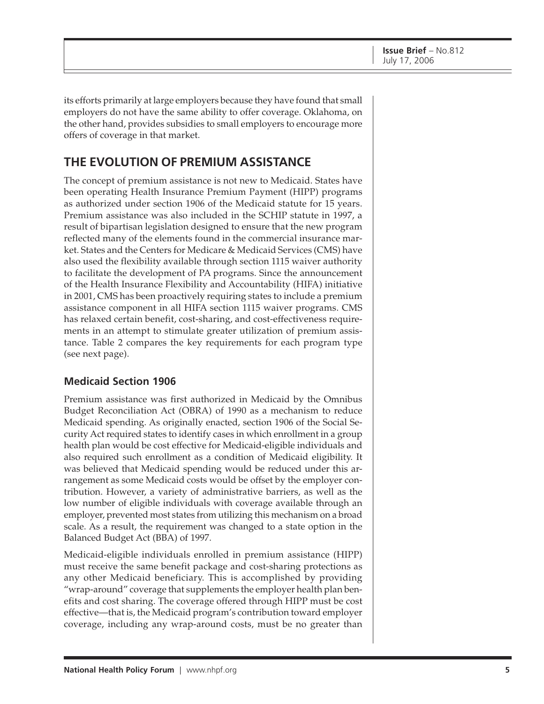its efforts primarily at large employers because they have found that small employers do not have the same ability to offer coverage. Oklahoma, on the other hand, provides subsidies to small employers to encourage more offers of coverage in that market.

### **THE EVOLUTION OF PREMIUM ASSISTANCE**

The concept of premium assistance is not new to Medicaid. States have been operating Health Insurance Premium Payment (HIPP) programs as authorized under section 1906 of the Medicaid statute for 15 years. Premium assistance was also included in the SCHIP statute in 1997, a result of bipartisan legislation designed to ensure that the new program reflected many of the elements found in the commercial insurance market. States and the Centers for Medicare & Medicaid Services (CMS) have also used the flexibility available through section 1115 waiver authority to facilitate the development of PA programs. Since the announcement of the Health Insurance Flexibility and Accountability (HIFA) initiative in 2001, CMS has been proactively requiring states to include a premium assistance component in all HIFA section 1115 waiver programs. CMS has relaxed certain benefit, cost-sharing, and cost-effectiveness requirements in an attempt to stimulate greater utilization of premium assistance. Table 2 compares the key requirements for each program type (see next page).

### **Medicaid Section 1906**

Premium assistance was first authorized in Medicaid by the Omnibus Budget Reconciliation Act (OBRA) of 1990 as a mechanism to reduce Medicaid spending. As originally enacted, section 1906 of the Social Security Act required states to identify cases in which enrollment in a group health plan would be cost effective for Medicaid-eligible individuals and also required such enrollment as a condition of Medicaid eligibility. It was believed that Medicaid spending would be reduced under this arrangement as some Medicaid costs would be offset by the employer contribution. However, a variety of administrative barriers, as well as the low number of eligible individuals with coverage available through an employer, prevented most states from utilizing this mechanism on a broad scale. As a result, the requirement was changed to a state option in the Balanced Budget Act (BBA) of 1997.

Medicaid-eligible individuals enrolled in premium assistance (HIPP) must receive the same benefit package and cost-sharing protections as any other Medicaid beneficiary. This is accomplished by providing "wrap-around" coverage that supplements the employer health plan benefits and cost sharing. The coverage offered through HIPP must be cost effective—that is, the Medicaid program's contribution toward employer coverage, including any wrap-around costs, must be no greater than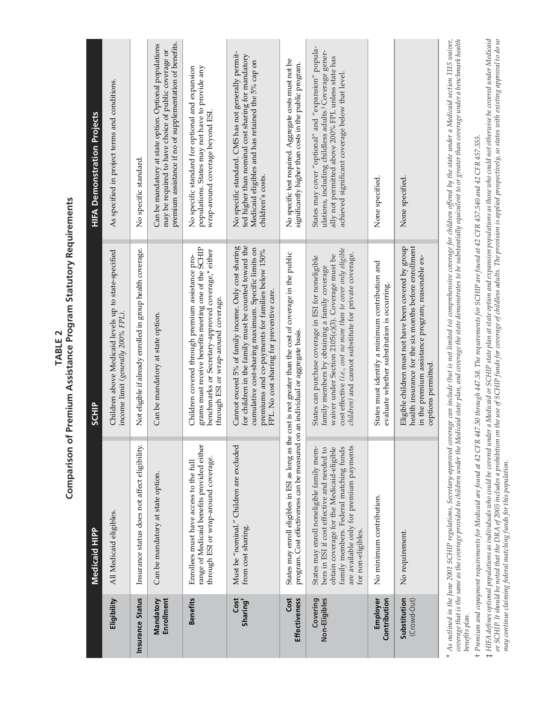|                              | <b>Medicaid HIPP</b>                                                                                                                                                                                                                             | <b>SCHIP</b>                                                                                                                                                                                                                                                                                                                                                                                                                            | <b>HIFA Demonstration Projects</b>                                                                                                                                                                                                |
|------------------------------|--------------------------------------------------------------------------------------------------------------------------------------------------------------------------------------------------------------------------------------------------|-----------------------------------------------------------------------------------------------------------------------------------------------------------------------------------------------------------------------------------------------------------------------------------------------------------------------------------------------------------------------------------------------------------------------------------------|-----------------------------------------------------------------------------------------------------------------------------------------------------------------------------------------------------------------------------------|
| Eligibility                  | All Medicaid eligibles.                                                                                                                                                                                                                          | Children above Medicaid levels up to state-specified<br>income limit (generally 200% FPL).                                                                                                                                                                                                                                                                                                                                              | As specified in project terms and conditions.                                                                                                                                                                                     |
| Insurance Status             | Insurance status does not affect eligibility.                                                                                                                                                                                                    | Not eligible if already enrolled in group health coverage.                                                                                                                                                                                                                                                                                                                                                                              | No specific standard.                                                                                                                                                                                                             |
| Enrollment<br>Mandatory      | Can be mandatory at state option.                                                                                                                                                                                                                | Can be mandatory at state option.                                                                                                                                                                                                                                                                                                                                                                                                       | premium assistance if no of supplementation of benefits.<br>Can be mandatory at state option. Optional populations<br>may be required to have choice of public coverage or                                                        |
| <b>Benefits</b>              | range of Medicaid benefits provided either<br>through ESI or wrap-around coverage.<br>Enrollees must have access to the full                                                                                                                     | grams must receive benefits meeting one of the SCHIP<br>benchmarks or Secretary-approved coverage,* either<br>Children covered through premium assistance pro-<br>through ESI or wrap-around coverage.                                                                                                                                                                                                                                  | populations. States may not have to provide any<br>No specific standard for optional and expansion<br>wrap-around coverage beyond ESI                                                                                             |
| Cost<br>Sharing <sup>†</sup> | Must be "nominal." Children are excluded<br>from cost sharing.                                                                                                                                                                                   | for children in the family must be counted toward the<br>Cannot exceed 5% of family income. Only cost sharing<br>cumulative cost-sharing maximum. Specific limits on<br>premiums and co-payments for families below 150%<br>FPL. No cost sharing for preventive care.                                                                                                                                                                   | No specific standard. CMS has not generally permit-<br>ted higher than nominal cost sharing for mandatory<br>Medicaid eligibles and has retained the 5% cap on<br>children's costs.                                               |
| Cost<br><b>Effectiveness</b> | program. Cost effectiveness can be measured on an individual or aggregate basis<br>States may enroll eligibles in ESI as long as the                                                                                                             | cost is not greater than the cost of coverage in the public                                                                                                                                                                                                                                                                                                                                                                             | No specific test required. Aggregate costs must not be<br>significantly higher than costs in the public program.                                                                                                                  |
| Non-Eligibles<br>Covering    | are available only for premium payments<br>States may enroll noneligible family mem-<br>obtain coverage for the Medicaid-eligible<br>family members. Federal matching funds<br>bers in ESI if cost effective and needed to<br>for non-eligibles. | cost effective (i.e., cost no more than to cover only eligible<br>children) and cannot substitute for private coverage.<br>waiver under Section 2105(c)(3). Coverage must be<br>States can purchase coverage in ESI for noneligible<br>family members by obtaining a family coverage                                                                                                                                                    | States may cover "optional" and "expansion" popula-<br>ulations, including childless adults. <sup>‡</sup> Coverage gener-<br>ally not permitted above 200% FPL unless state has<br>achieved significant coverage below that level |
| Employer<br>Contribution     | No minimum contribution.                                                                                                                                                                                                                         | States must identify a minimum contribution and<br>evaluate whether substitution is occurring.                                                                                                                                                                                                                                                                                                                                          | None specified.                                                                                                                                                                                                                   |
| Substitution<br>(Crowd-Out)  | No requirement.                                                                                                                                                                                                                                  | Eligible children must not have been covered by group<br>health insurance for the six months before enrollment<br>in the premium assistance program; reasonable ex-<br>ceptions permitted                                                                                                                                                                                                                                               | None specified                                                                                                                                                                                                                    |
| benefits plan.<br>$\star$    |                                                                                                                                                                                                                                                  | As outlined in the June 2001 SCHIP regulations, Secretary-approved coverage can include (but is not limited to) comprehensive coverage for children offered by the state under a Medicaid section 1115 waiver,<br>coverage that is the same as the coverage provided to children under the Madicaid state plan, and coverage the state demonstrates to be substantially equivalent to or greater than coverage under a benchmark health |                                                                                                                                                                                                                                   |

Comparison of Premium Assistance Program Statutory Requirements **Comparison of Premium Assistance Program Statutory Requirements TABLE 2**

*benefits plan.*

+ Premium and copayment requirements for Medicaid are found at 42 CFR 447.50 through 447.58. The requirements for SCHIP are found at 42 CFR 457.540 and 42 CFR 457.555. *Premium and copayment requirements for Medicaid are found at 42 CFR 447.50 through 447.58. The requirements for SCHIP are found at 42 CFR 457.540 and 42 CFR 457.555.*

‡ HIFA defines optional populations as individuals who could be covered under a Medicaid or SCHIP state plan at state option and expansion populations as those who could not otherwise be covered under Medicaid<br>or SCHIP. It *HIFA defines optional populations as individuals who could be covered under a Medicaid or SCHIP state plan at state option and expansion populations as those who could not otherwise be covered under Medicaid or SCHIP. It should be noted that the DRA of 2005 includes a prohibition on the use of SCHIP funds for coverage of childless adults. The provision is applied prospectively, so states with existing approval to do so may continue claiming federal matching funds for this population.*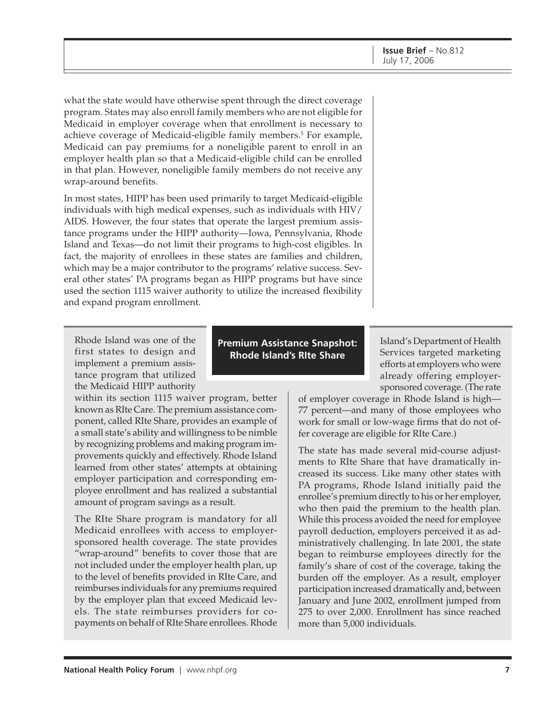what the state would have otherwise spent through the direct coverage program. States may also enroll family members who are not eligible for Medicaid in employer coverage when that enrollment is necessary to achieve coverage of Medicaid-eligible family members.<sup>5</sup> For example, Medicaid can pay premiums for a noneligible parent to enroll in an employer health plan so that a Medicaid-eligible child can be enrolled in that plan. However, noneligible family members do not receive any wrap-around benefits.

In most states, HIPP has been used primarily to target Medicaid-eligible individuals with high medical expenses, such as individuals with HIV/ AIDS. However, the four states that operate the largest premium assistance programs under the HIPP authority—Iowa, Pennsylvania, Rhode Island and Texas—do not limit their programs to high-cost eligibles. In fact, the majority of enrollees in these states are families and children, which may be a major contributor to the programs' relative success. Several other states' PA programs began as HIPP programs but have since used the section 1115 waiver authority to utilize the increased flexibility and expand program enrollment.

Rhode Island was one of the first states to design and implement a premium assistance program that utilized the Medicaid HIPP authority

within its section 1115 waiver program, better known as RIte Care. The premium assistance component, called RIte Share, provides an example of a small state's ability and willingness to be nimble by recognizing problems and making program improvements quickly and effectively. Rhode Island learned from other states' attempts at obtaining employer participation and corresponding employee enrollment and has realized a substantial amount of program savings as a result.

The RIte Share program is mandatory for all Medicaid enrollees with access to employersponsored health coverage. The state provides "wrap-around" benefits to cover those that are not included under the employer health plan, up to the level of benefits provided in RIte Care, and reimburses individuals for any premiums required by the employer plan that exceed Medicaid levels. The state reimburses providers for copayments on behalf of RIte Share enrollees. Rhode

**Premium Assistance Snapshot: Rhode Island's RIte Share**

Island's Department of Health Services targeted marketing efforts at employers who were already offering employersponsored coverage. (The rate

of employer coverage in Rhode Island is high— 77 percent—and many of those employees who work for small or low-wage firms that do not offer coverage are eligible for RIte Care.)

The state has made several mid-course adjustments to RIte Share that have dramatically increased its success. Like many other states with PA programs, Rhode Island initially paid the enrollee's premium directly to his or her employer, who then paid the premium to the health plan. While this process avoided the need for employee payroll deduction, employers perceived it as administratively challenging. In late 2001, the state began to reimburse employees directly for the family's share of cost of the coverage, taking the burden off the employer. As a result, employer participation increased dramatically and, between January and June 2002, enrollment jumped from 275 to over 2,000. Enrollment has since reached more than 5,000 individuals.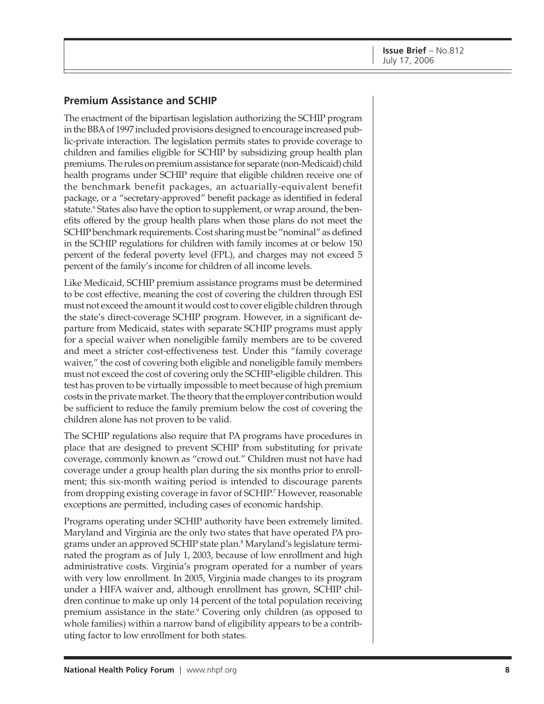### **Premium Assistance and SCHIP**

The enactment of the bipartisan legislation authorizing the SCHIP program in the BBA of 1997 included provisions designed to encourage increased public-private interaction. The legislation permits states to provide coverage to children and families eligible for SCHIP by subsidizing group health plan premiums. The rules on premium assistance for separate (non-Medicaid) child health programs under SCHIP require that eligible children receive one of the benchmark benefit packages, an actuarially-equivalent benefit package, or a "secretary-approved" benefit package as identified in federal statute.<sup>6</sup> States also have the option to supplement, or wrap around, the benefits offered by the group health plans when those plans do not meet the SCHIP benchmark requirements. Cost sharing must be "nominal" as defined in the SCHIP regulations for children with family incomes at or below 150 percent of the federal poverty level (FPL), and charges may not exceed 5 percent of the family's income for children of all income levels.

Like Medicaid, SCHIP premium assistance programs must be determined to be cost effective, meaning the cost of covering the children through ESI must not exceed the amount it would cost to cover eligible children through the state's direct-coverage SCHIP program. However, in a significant departure from Medicaid, states with separate SCHIP programs must apply for a special waiver when noneligible family members are to be covered and meet a stricter cost-effectiveness test. Under this "family coverage waiver," the cost of covering both eligible and noneligible family members must not exceed the cost of covering only the SCHIP-eligible children. This test has proven to be virtually impossible to meet because of high premium costs in the private market. The theory that the employer contribution would be sufficient to reduce the family premium below the cost of covering the children alone has not proven to be valid.

The SCHIP regulations also require that PA programs have procedures in place that are designed to prevent SCHIP from substituting for private coverage, commonly known as "crowd out." Children must not have had coverage under a group health plan during the six months prior to enrollment; this six-month waiting period is intended to discourage parents from dropping existing coverage in favor of SCHIP.7 However, reasonable exceptions are permitted, including cases of economic hardship.

Programs operating under SCHIP authority have been extremely limited. Maryland and Virginia are the only two states that have operated PA programs under an approved SCHIP state plan.<sup>8</sup> Maryland's legislature terminated the program as of July 1, 2003, because of low enrollment and high administrative costs. Virginia's program operated for a number of years with very low enrollment. In 2005, Virginia made changes to its program under a HIFA waiver and, although enrollment has grown, SCHIP children continue to make up only 14 percent of the total population receiving premium assistance in the state.<sup>9</sup> Covering only children (as opposed to whole families) within a narrow band of eligibility appears to be a contributing factor to low enrollment for both states.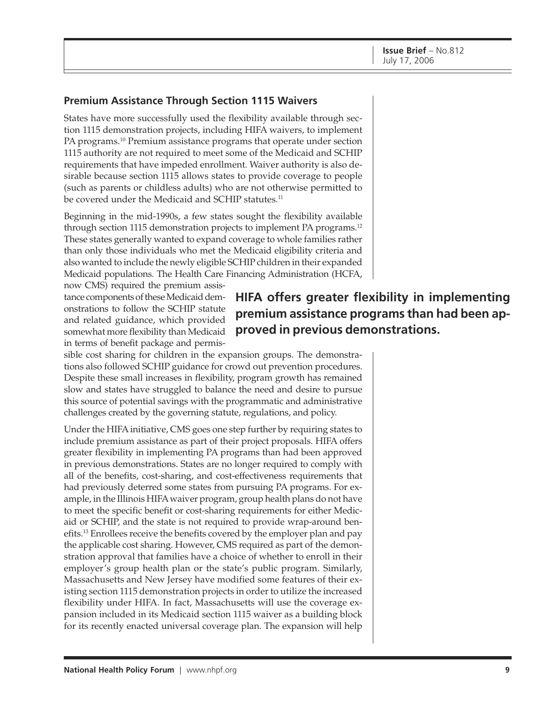### **Premium Assistance Through Section 1115 Waivers**

States have more successfully used the flexibility available through section 1115 demonstration projects, including HIFA waivers, to implement PA programs.<sup>10</sup> Premium assistance programs that operate under section 1115 authority are not required to meet some of the Medicaid and SCHIP requirements that have impeded enrollment. Waiver authority is also desirable because section 1115 allows states to provide coverage to people (such as parents or childless adults) who are not otherwise permitted to be covered under the Medicaid and SCHIP statutes.<sup>11</sup>

Beginning in the mid-1990s, a few states sought the flexibility available through section 1115 demonstration projects to implement PA programs.<sup>12</sup> These states generally wanted to expand coverage to whole families rather than only those individuals who met the Medicaid eligibility criteria and also wanted to include the newly eligible SCHIP children in their expanded Medicaid populations. The Health Care Financing Administration (HCFA,

now CMS) required the premium assistance components of these Medicaid demonstrations to follow the SCHIP statute and related guidance, which provided somewhat more flexibility than Medicaid in terms of benefit package and permis-

sible cost sharing for children in the expansion groups. The demonstrations also followed SCHIP guidance for crowd out prevention procedures. Despite these small increases in flexibility, program growth has remained slow and states have struggled to balance the need and desire to pursue this source of potential savings with the programmatic and administrative challenges created by the governing statute, regulations, and policy.

Under the HIFA initiative, CMS goes one step further by requiring states to include premium assistance as part of their project proposals. HIFA offers greater flexibility in implementing PA programs than had been approved in previous demonstrations. States are no longer required to comply with all of the benefits, cost-sharing, and cost-effectiveness requirements that had previously deterred some states from pursuing PA programs. For example, in the Illinois HIFA waiver program, group health plans do not have to meet the specific benefit or cost-sharing requirements for either Medicaid or SCHIP, and the state is not required to provide wrap-around benefits.13 Enrollees receive the benefits covered by the employer plan and pay the applicable cost sharing. However, CMS required as part of the demonstration approval that families have a choice of whether to enroll in their employer's group health plan or the state's public program. Similarly, Massachusetts and New Jersey have modified some features of their existing section 1115 demonstration projects in order to utilize the increased flexibility under HIFA. In fact, Massachusetts will use the coverage expansion included in its Medicaid section 1115 waiver as a building block for its recently enacted universal coverage plan. The expansion will help

## **HIFA offers greater flexibility in implementing premium assistance programs than had been approved in previous demonstrations.**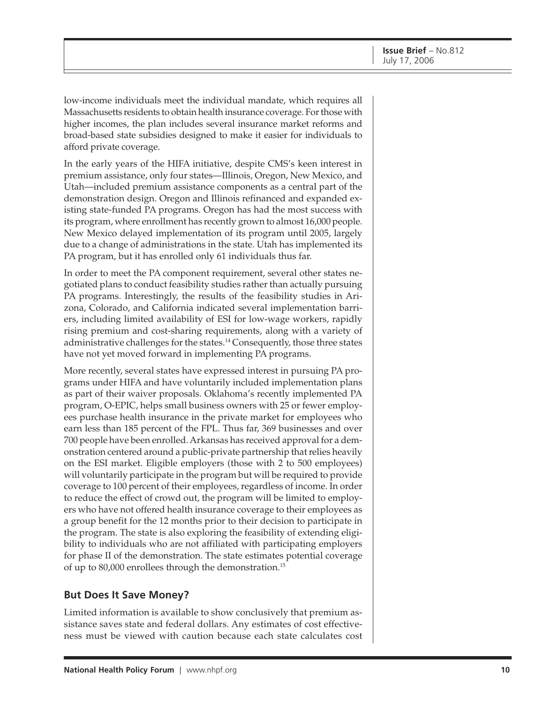low-income individuals meet the individual mandate, which requires all Massachusetts residents to obtain health insurance coverage. For those with higher incomes, the plan includes several insurance market reforms and broad-based state subsidies designed to make it easier for individuals to afford private coverage.

In the early years of the HIFA initiative, despite CMS's keen interest in premium assistance, only four states—Illinois, Oregon, New Mexico, and Utah—included premium assistance components as a central part of the demonstration design. Oregon and Illinois refinanced and expanded existing state-funded PA programs. Oregon has had the most success with its program, where enrollment has recently grown to almost 16,000 people. New Mexico delayed implementation of its program until 2005, largely due to a change of administrations in the state. Utah has implemented its PA program, but it has enrolled only 61 individuals thus far.

In order to meet the PA component requirement, several other states negotiated plans to conduct feasibility studies rather than actually pursuing PA programs. Interestingly, the results of the feasibility studies in Arizona, Colorado, and California indicated several implementation barriers, including limited availability of ESI for low-wage workers, rapidly rising premium and cost-sharing requirements, along with a variety of administrative challenges for the states.14 Consequently, those three states have not yet moved forward in implementing PA programs.

More recently, several states have expressed interest in pursuing PA programs under HIFA and have voluntarily included implementation plans as part of their waiver proposals. Oklahoma's recently implemented PA program, O-EPIC, helps small business owners with 25 or fewer employees purchase health insurance in the private market for employees who earn less than 185 percent of the FPL. Thus far, 369 businesses and over 700 people have been enrolled. Arkansas has received approval for a demonstration centered around a public-private partnership that relies heavily on the ESI market. Eligible employers (those with 2 to 500 employees) will voluntarily participate in the program but will be required to provide coverage to 100 percent of their employees, regardless of income. In order to reduce the effect of crowd out, the program will be limited to employers who have not offered health insurance coverage to their employees as a group benefit for the 12 months prior to their decision to participate in the program. The state is also exploring the feasibility of extending eligibility to individuals who are not affiliated with participating employers for phase II of the demonstration. The state estimates potential coverage of up to 80,000 enrollees through the demonstration.15

### **But Does It Save Money?**

Limited information is available to show conclusively that premium assistance saves state and federal dollars. Any estimates of cost effectiveness must be viewed with caution because each state calculates cost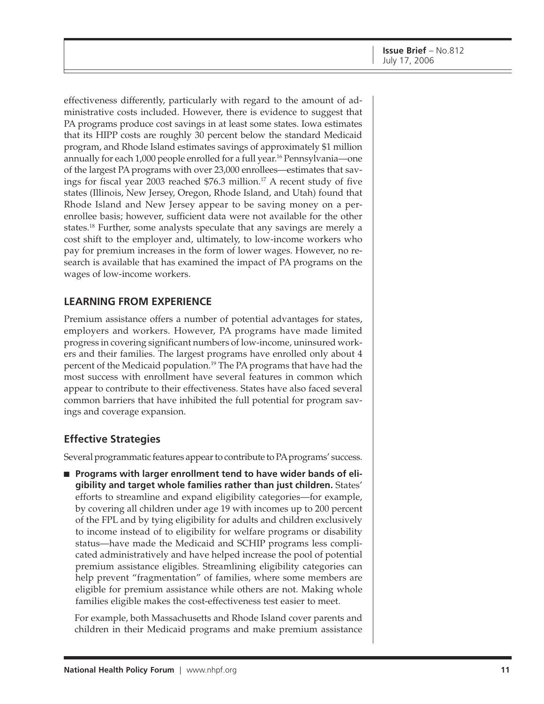effectiveness differently, particularly with regard to the amount of administrative costs included. However, there is evidence to suggest that PA programs produce cost savings in at least some states. Iowa estimates that its HIPP costs are roughly 30 percent below the standard Medicaid program, and Rhode Island estimates savings of approximately \$1 million annually for each 1,000 people enrolled for a full year.<sup>16</sup> Pennsylvania—one of the largest PA programs with over 23,000 enrollees—estimates that savings for fiscal year 2003 reached  $$76.3$  million.<sup>17</sup> A recent study of five states (Illinois, New Jersey, Oregon, Rhode Island, and Utah) found that Rhode Island and New Jersey appear to be saving money on a perenrollee basis; however, sufficient data were not available for the other states.18 Further, some analysts speculate that any savings are merely a cost shift to the employer and, ultimately, to low-income workers who pay for premium increases in the form of lower wages. However, no research is available that has examined the impact of PA programs on the wages of low-income workers.

### **LEARNING FROM EXPERIENCE**

Premium assistance offers a number of potential advantages for states, employers and workers. However, PA programs have made limited progress in covering significant numbers of low-income, uninsured workers and their families. The largest programs have enrolled only about 4 percent of the Medicaid population.<sup>19</sup> The PA programs that have had the most success with enrollment have several features in common which appear to contribute to their effectiveness. States have also faced several common barriers that have inhibited the full potential for program savings and coverage expansion.

### **Effective Strategies**

Several programmatic features appear to contribute to PA programs' success.

■ Programs with larger enrollment tend to have wider bands of eli**gibility and target whole families rather than just children.** States' efforts to streamline and expand eligibility categories—for example, by covering all children under age 19 with incomes up to 200 percent of the FPL and by tying eligibility for adults and children exclusively to income instead of to eligibility for welfare programs or disability status—have made the Medicaid and SCHIP programs less complicated administratively and have helped increase the pool of potential premium assistance eligibles. Streamlining eligibility categories can help prevent "fragmentation" of families, where some members are eligible for premium assistance while others are not. Making whole families eligible makes the cost-effectiveness test easier to meet.

For example, both Massachusetts and Rhode Island cover parents and children in their Medicaid programs and make premium assistance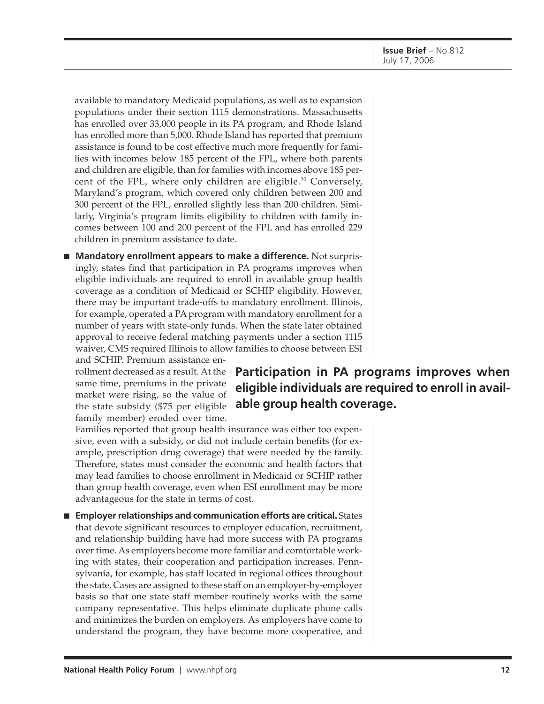available to mandatory Medicaid populations, as well as to expansion populations under their section 1115 demonstrations. Massachusetts has enrolled over 33,000 people in its PA program, and Rhode Island has enrolled more than 5,000. Rhode Island has reported that premium assistance is found to be cost effective much more frequently for families with incomes below 185 percent of the FPL, where both parents and children are eligible, than for families with incomes above 185 percent of the FPL, where only children are eligible.<sup>20</sup> Conversely, Maryland's program, which covered only children between 200 and 300 percent of the FPL, enrolled slightly less than 200 children. Similarly, Virginia's program limits eligibility to children with family incomes between 100 and 200 percent of the FPL and has enrolled 229 children in premium assistance to date.

■ **Mandatory enrollment appears to make a difference.** Not surprisingly, states find that participation in PA programs improves when eligible individuals are required to enroll in available group health coverage as a condition of Medicaid or SCHIP eligibility. However, there may be important trade-offs to mandatory enrollment. Illinois, for example, operated a PA program with mandatory enrollment for a number of years with state-only funds. When the state later obtained approval to receive federal matching payments under a section 1115 waiver, CMS required Illinois to allow families to choose between ESI and SCHIP. Premium assistance en-

rollment decreased as a result. At the same time, premiums in the private market were rising, so the value of the state subsidy (\$75 per eligible family member) eroded over time.

**Participation in PA programs improves when eligible individuals are required to enroll in available group health coverage.**

Families reported that group health insurance was either too expensive, even with a subsidy, or did not include certain benefits (for example, prescription drug coverage) that were needed by the family. Therefore, states must consider the economic and health factors that may lead families to choose enrollment in Medicaid or SCHIP rather than group health coverage, even when ESI enrollment may be more advantageous for the state in terms of cost.

■ **Employer relationships and communication efforts are critical.** States that devote significant resources to employer education, recruitment, and relationship building have had more success with PA programs over time. As employers become more familiar and comfortable working with states, their cooperation and participation increases. Pennsylvania, for example, has staff located in regional offices throughout the state. Cases are assigned to these staff on an employer-by-employer basis so that one state staff member routinely works with the same company representative. This helps eliminate duplicate phone calls and minimizes the burden on employers. As employers have come to understand the program, they have become more cooperative, and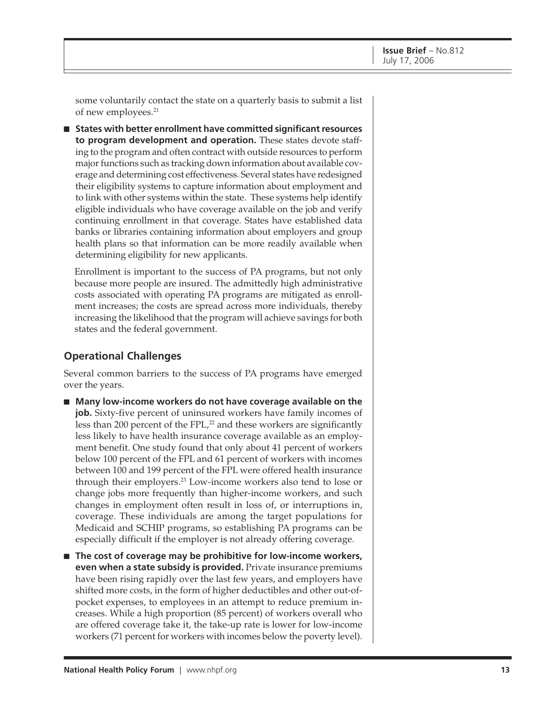some voluntarily contact the state on a quarterly basis to submit a list of new employees.<sup>21</sup>

■ **States with better enrollment have committed significant resources to program development and operation.** These states devote staffing to the program and often contract with outside resources to perform major functions such as tracking down information about available coverage and determining cost effectiveness. Several states have redesigned their eligibility systems to capture information about employment and to link with other systems within the state. These systems help identify eligible individuals who have coverage available on the job and verify continuing enrollment in that coverage. States have established data banks or libraries containing information about employers and group health plans so that information can be more readily available when determining eligibility for new applicants.

Enrollment is important to the success of PA programs, but not only because more people are insured. The admittedly high administrative costs associated with operating PA programs are mitigated as enrollment increases; the costs are spread across more individuals, thereby increasing the likelihood that the program will achieve savings for both states and the federal government.

### **Operational Challenges**

Several common barriers to the success of PA programs have emerged over the years.

- Many low-income workers do not have coverage available on the **job.** Sixty-five percent of uninsured workers have family incomes of less than 200 percent of the FPL,<sup>22</sup> and these workers are significantly less likely to have health insurance coverage available as an employment benefit. One study found that only about 41 percent of workers below 100 percent of the FPL and 61 percent of workers with incomes between 100 and 199 percent of the FPL were offered health insurance through their employers.23 Low-income workers also tend to lose or change jobs more frequently than higher-income workers, and such changes in employment often result in loss of, or interruptions in, coverage. These individuals are among the target populations for Medicaid and SCHIP programs, so establishing PA programs can be especially difficult if the employer is not already offering coverage.
- **The cost of coverage may be prohibitive for low-income workers, even when a state subsidy is provided.** Private insurance premiums have been rising rapidly over the last few years, and employers have shifted more costs, in the form of higher deductibles and other out-ofpocket expenses, to employees in an attempt to reduce premium increases. While a high proportion (85 percent) of workers overall who are offered coverage take it, the take-up rate is lower for low-income workers (71 percent for workers with incomes below the poverty level).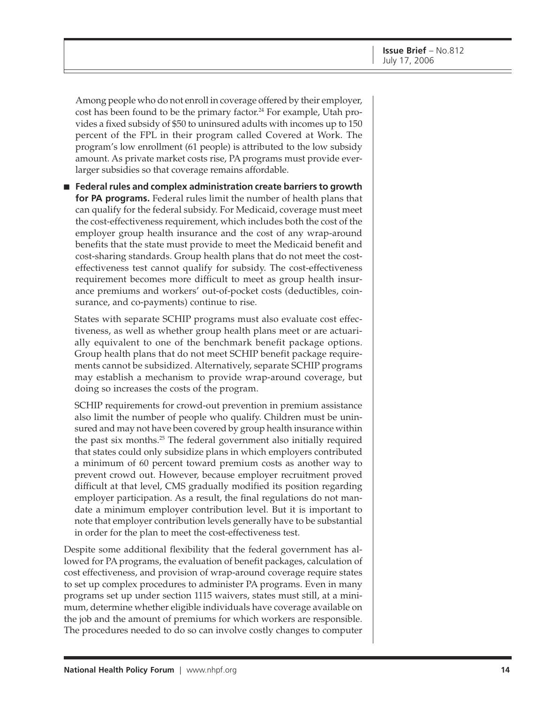Among people who do not enroll in coverage offered by their employer, cost has been found to be the primary factor.<sup>24</sup> For example, Utah provides a fixed subsidy of \$50 to uninsured adults with incomes up to 150 percent of the FPL in their program called Covered at Work. The program's low enrollment (61 people) is attributed to the low subsidy amount. As private market costs rise, PA programs must provide everlarger subsidies so that coverage remains affordable.

■ **Federal rules and complex administration create barriers to growth for PA programs.** Federal rules limit the number of health plans that can qualify for the federal subsidy. For Medicaid, coverage must meet the cost-effectiveness requirement, which includes both the cost of the employer group health insurance and the cost of any wrap-around benefits that the state must provide to meet the Medicaid benefit and cost-sharing standards. Group health plans that do not meet the costeffectiveness test cannot qualify for subsidy. The cost-effectiveness requirement becomes more difficult to meet as group health insurance premiums and workers' out-of-pocket costs (deductibles, coinsurance, and co-payments) continue to rise.

States with separate SCHIP programs must also evaluate cost effectiveness, as well as whether group health plans meet or are actuarially equivalent to one of the benchmark benefit package options. Group health plans that do not meet SCHIP benefit package requirements cannot be subsidized. Alternatively, separate SCHIP programs may establish a mechanism to provide wrap-around coverage, but doing so increases the costs of the program.

SCHIP requirements for crowd-out prevention in premium assistance also limit the number of people who qualify. Children must be uninsured and may not have been covered by group health insurance within the past six months.25 The federal government also initially required that states could only subsidize plans in which employers contributed a minimum of 60 percent toward premium costs as another way to prevent crowd out. However, because employer recruitment proved difficult at that level, CMS gradually modified its position regarding employer participation. As a result, the final regulations do not mandate a minimum employer contribution level. But it is important to note that employer contribution levels generally have to be substantial in order for the plan to meet the cost-effectiveness test.

Despite some additional flexibility that the federal government has allowed for PA programs, the evaluation of benefit packages, calculation of cost effectiveness, and provision of wrap-around coverage require states to set up complex procedures to administer PA programs. Even in many programs set up under section 1115 waivers, states must still, at a minimum, determine whether eligible individuals have coverage available on the job and the amount of premiums for which workers are responsible. The procedures needed to do so can involve costly changes to computer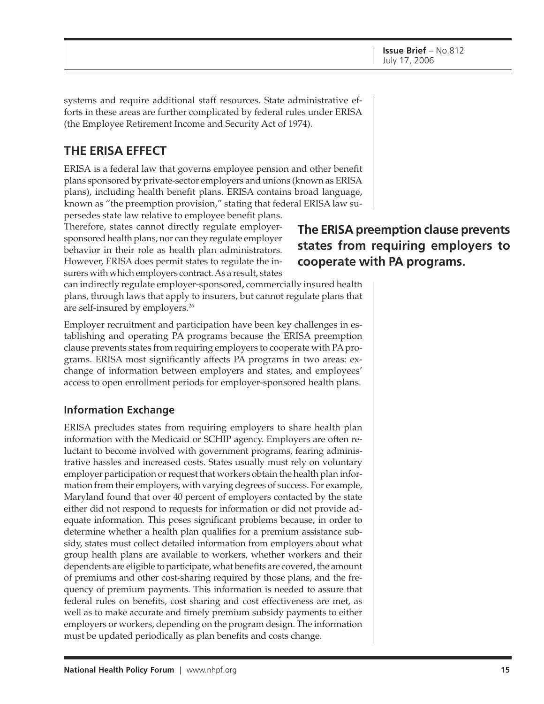systems and require additional staff resources. State administrative efforts in these areas are further complicated by federal rules under ERISA (the Employee Retirement Income and Security Act of 1974).

## **THE ERISA EFFECT**

ERISA is a federal law that governs employee pension and other benefit plans sponsored by private-sector employers and unions (known as ERISA plans), including health benefit plans. ERISA contains broad language, known as "the preemption provision," stating that federal ERISA law su-

persedes state law relative to employee benefit plans. Therefore, states cannot directly regulate employersponsored health plans, nor can they regulate employer behavior in their role as health plan administrators. However, ERISA does permit states to regulate the insurers with which employers contract. As a result, states

**The ERISA preemption clause prevents states from requiring employers to cooperate with PA programs.**

can indirectly regulate employer-sponsored, commercially insured health plans, through laws that apply to insurers, but cannot regulate plans that are self-insured by employers.26

Employer recruitment and participation have been key challenges in establishing and operating PA programs because the ERISA preemption clause prevents states from requiring employers to cooperate with PA programs. ERISA most significantly affects PA programs in two areas: exchange of information between employers and states, and employees' access to open enrollment periods for employer-sponsored health plans.

### **Information Exchange**

ERISA precludes states from requiring employers to share health plan information with the Medicaid or SCHIP agency. Employers are often reluctant to become involved with government programs, fearing administrative hassles and increased costs. States usually must rely on voluntary employer participation or request that workers obtain the health plan information from their employers, with varying degrees of success. For example, Maryland found that over 40 percent of employers contacted by the state either did not respond to requests for information or did not provide adequate information. This poses significant problems because, in order to determine whether a health plan qualifies for a premium assistance subsidy, states must collect detailed information from employers about what group health plans are available to workers, whether workers and their dependents are eligible to participate, what benefits are covered, the amount of premiums and other cost-sharing required by those plans, and the frequency of premium payments. This information is needed to assure that federal rules on benefits, cost sharing and cost effectiveness are met, as well as to make accurate and timely premium subsidy payments to either employers or workers, depending on the program design. The information must be updated periodically as plan benefits and costs change.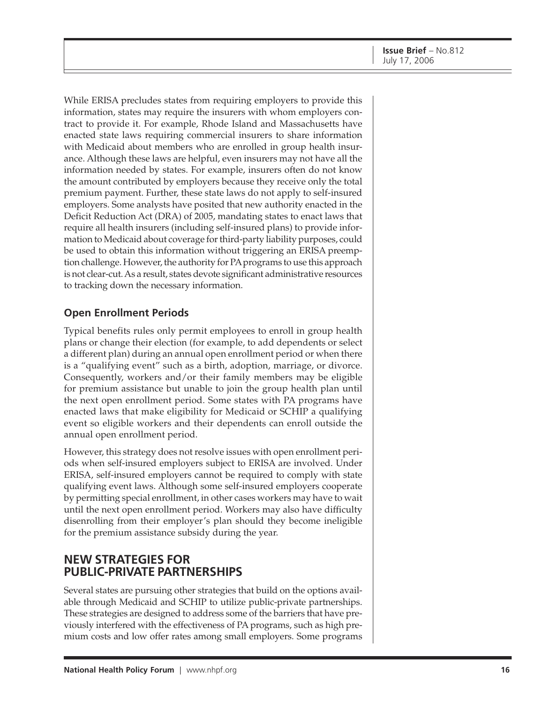While ERISA precludes states from requiring employers to provide this information, states may require the insurers with whom employers contract to provide it. For example, Rhode Island and Massachusetts have enacted state laws requiring commercial insurers to share information with Medicaid about members who are enrolled in group health insurance. Although these laws are helpful, even insurers may not have all the information needed by states. For example, insurers often do not know the amount contributed by employers because they receive only the total premium payment. Further, these state laws do not apply to self-insured employers. Some analysts have posited that new authority enacted in the Deficit Reduction Act (DRA) of 2005, mandating states to enact laws that require all health insurers (including self-insured plans) to provide information to Medicaid about coverage for third-party liability purposes, could be used to obtain this information without triggering an ERISA preemption challenge. However, the authority for PA programs to use this approach is not clear-cut. As a result, states devote significant administrative resources to tracking down the necessary information.

### **Open Enrollment Periods**

Typical benefits rules only permit employees to enroll in group health plans or change their election (for example, to add dependents or select a different plan) during an annual open enrollment period or when there is a "qualifying event" such as a birth, adoption, marriage, or divorce. Consequently, workers and/or their family members may be eligible for premium assistance but unable to join the group health plan until the next open enrollment period. Some states with PA programs have enacted laws that make eligibility for Medicaid or SCHIP a qualifying event so eligible workers and their dependents can enroll outside the annual open enrollment period.

However, this strategy does not resolve issues with open enrollment periods when self-insured employers subject to ERISA are involved. Under ERISA, self-insured employers cannot be required to comply with state qualifying event laws. Although some self-insured employers cooperate by permitting special enrollment, in other cases workers may have to wait until the next open enrollment period. Workers may also have difficulty disenrolling from their employer's plan should they become ineligible for the premium assistance subsidy during the year.

### **NEW STRATEGIES FOR PUBLIC-PRIVATE PARTNERSHIPS**

Several states are pursuing other strategies that build on the options available through Medicaid and SCHIP to utilize public-private partnerships. These strategies are designed to address some of the barriers that have previously interfered with the effectiveness of PA programs, such as high premium costs and low offer rates among small employers. Some programs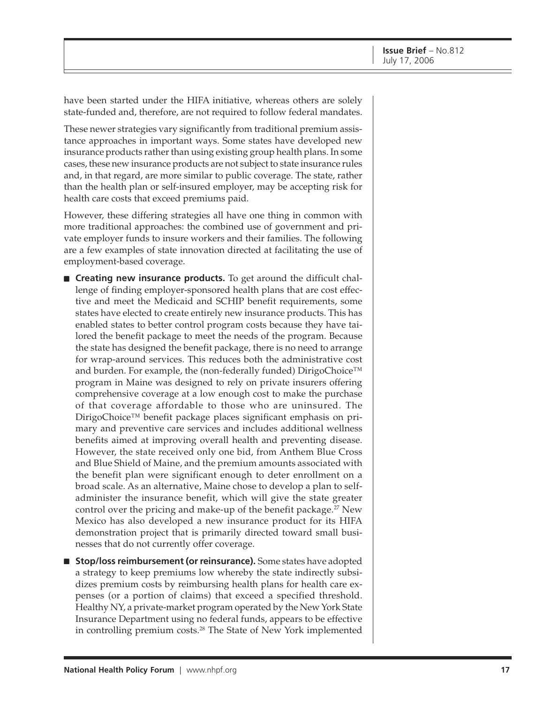have been started under the HIFA initiative, whereas others are solely state-funded and, therefore, are not required to follow federal mandates.

These newer strategies vary significantly from traditional premium assistance approaches in important ways. Some states have developed new insurance products rather than using existing group health plans. In some cases, these new insurance products are not subject to state insurance rules and, in that regard, are more similar to public coverage. The state, rather than the health plan or self-insured employer, may be accepting risk for health care costs that exceed premiums paid.

However, these differing strategies all have one thing in common with more traditional approaches: the combined use of government and private employer funds to insure workers and their families. The following are a few examples of state innovation directed at facilitating the use of employment-based coverage.

- **Creating new insurance products.** To get around the difficult challenge of finding employer-sponsored health plans that are cost effective and meet the Medicaid and SCHIP benefit requirements, some states have elected to create entirely new insurance products. This has enabled states to better control program costs because they have tailored the benefit package to meet the needs of the program. Because the state has designed the benefit package, there is no need to arrange for wrap-around services. This reduces both the administrative cost and burden. For example, the (non-federally funded) DirigoChoice™ program in Maine was designed to rely on private insurers offering comprehensive coverage at a low enough cost to make the purchase of that coverage affordable to those who are uninsured. The DirigoChoice™ benefit package places significant emphasis on primary and preventive care services and includes additional wellness benefits aimed at improving overall health and preventing disease. However, the state received only one bid, from Anthem Blue Cross and Blue Shield of Maine, and the premium amounts associated with the benefit plan were significant enough to deter enrollment on a broad scale. As an alternative, Maine chose to develop a plan to selfadminister the insurance benefit, which will give the state greater control over the pricing and make-up of the benefit package.<sup>27</sup> New Mexico has also developed a new insurance product for its HIFA demonstration project that is primarily directed toward small businesses that do not currently offer coverage.
- **Stop/loss reimbursement (or reinsurance).** Some states have adopted a strategy to keep premiums low whereby the state indirectly subsidizes premium costs by reimbursing health plans for health care expenses (or a portion of claims) that exceed a specified threshold. Healthy NY, a private-market program operated by the New York State Insurance Department using no federal funds, appears to be effective in controlling premium costs.<sup>28</sup> The State of New York implemented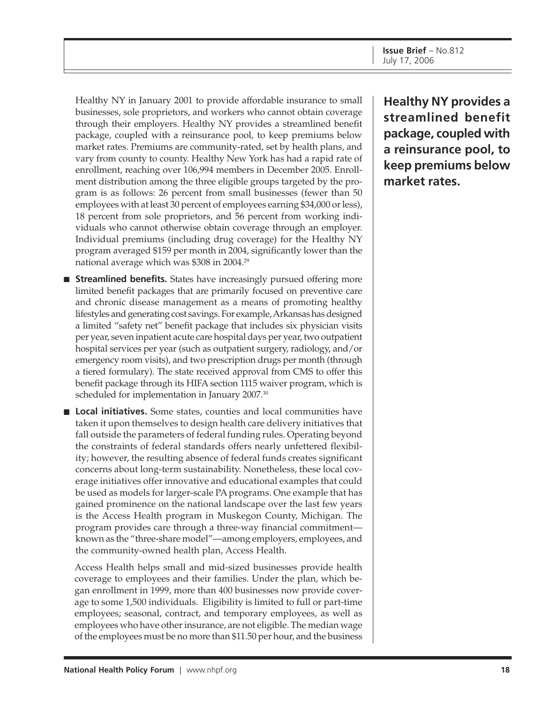Healthy NY in January 2001 to provide affordable insurance to small businesses, sole proprietors, and workers who cannot obtain coverage through their employers. Healthy NY provides a streamlined benefit package, coupled with a reinsurance pool, to keep premiums below market rates. Premiums are community-rated, set by health plans, and vary from county to county. Healthy New York has had a rapid rate of enrollment, reaching over 106,994 members in December 2005. Enrollment distribution among the three eligible groups targeted by the program is as follows: 26 percent from small businesses (fewer than 50 employees with at least 30 percent of employees earning \$34,000 or less), 18 percent from sole proprietors, and 56 percent from working individuals who cannot otherwise obtain coverage through an employer. Individual premiums (including drug coverage) for the Healthy NY program averaged \$159 per month in 2004, significantly lower than the national average which was \$308 in 2004.29

- **Streamlined benefits.** States have increasingly pursued offering more limited benefit packages that are primarily focused on preventive care and chronic disease management as a means of promoting healthy lifestyles and generating cost savings. For example, Arkansas has designed a limited "safety net" benefit package that includes six physician visits per year, seven inpatient acute care hospital days per year, two outpatient hospital services per year (such as outpatient surgery, radiology, and/or emergency room visits), and two prescription drugs per month (through a tiered formulary). The state received approval from CMS to offer this benefit package through its HIFA section 1115 waiver program, which is scheduled for implementation in January 2007.<sup>30</sup>
- **Local initiatives.** Some states, counties and local communities have taken it upon themselves to design health care delivery initiatives that fall outside the parameters of federal funding rules. Operating beyond the constraints of federal standards offers nearly unfettered flexibility; however, the resulting absence of federal funds creates significant concerns about long-term sustainability. Nonetheless, these local coverage initiatives offer innovative and educational examples that could be used as models for larger-scale PA programs. One example that has gained prominence on the national landscape over the last few years is the Access Health program in Muskegon County, Michigan. The program provides care through a three-way financial commitment known as the "three-share model"—among employers, employees, and the community-owned health plan, Access Health.

Access Health helps small and mid-sized businesses provide health coverage to employees and their families. Under the plan, which began enrollment in 1999, more than 400 businesses now provide coverage to some 1,500 individuals. Eligibility is limited to full or part-time employees; seasonal, contract, and temporary employees, as well as employees who have other insurance, are not eligible. The median wage of the employees must be no more than \$11.50 per hour, and the business

**Healthy NY provides a streamlined benefit package, coupled with a reinsurance pool, to keep premiums below market rates.**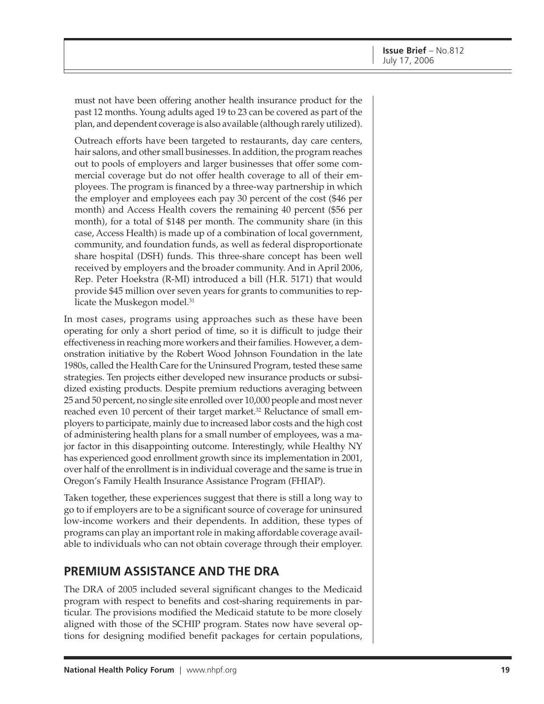must not have been offering another health insurance product for the past 12 months. Young adults aged 19 to 23 can be covered as part of the plan, and dependent coverage is also available (although rarely utilized).

Outreach efforts have been targeted to restaurants, day care centers, hair salons, and other small businesses. In addition, the program reaches out to pools of employers and larger businesses that offer some commercial coverage but do not offer health coverage to all of their employees. The program is financed by a three-way partnership in which the employer and employees each pay 30 percent of the cost (\$46 per month) and Access Health covers the remaining 40 percent (\$56 per month), for a total of \$148 per month. The community share (in this case, Access Health) is made up of a combination of local government, community, and foundation funds, as well as federal disproportionate share hospital (DSH) funds. This three-share concept has been well received by employers and the broader community. And in April 2006, Rep. Peter Hoekstra (R-MI) introduced a bill (H.R. 5171) that would provide \$45 million over seven years for grants to communities to replicate the Muskegon model.<sup>31</sup>

In most cases, programs using approaches such as these have been operating for only a short period of time, so it is difficult to judge their effectiveness in reaching more workers and their families. However, a demonstration initiative by the Robert Wood Johnson Foundation in the late 1980s, called the Health Care for the Uninsured Program, tested these same strategies. Ten projects either developed new insurance products or subsidized existing products. Despite premium reductions averaging between 25 and 50 percent, no single site enrolled over 10,000 people and most never reached even 10 percent of their target market.<sup>32</sup> Reluctance of small employers to participate, mainly due to increased labor costs and the high cost of administering health plans for a small number of employees, was a major factor in this disappointing outcome. Interestingly, while Healthy NY has experienced good enrollment growth since its implementation in 2001, over half of the enrollment is in individual coverage and the same is true in Oregon's Family Health Insurance Assistance Program (FHIAP).

Taken together, these experiences suggest that there is still a long way to go to if employers are to be a significant source of coverage for uninsured low-income workers and their dependents. In addition, these types of programs can play an important role in making affordable coverage available to individuals who can not obtain coverage through their employer.

### **PREMIUM ASSISTANCE AND THE DRA**

The DRA of 2005 included several significant changes to the Medicaid program with respect to benefits and cost-sharing requirements in particular. The provisions modified the Medicaid statute to be more closely aligned with those of the SCHIP program. States now have several options for designing modified benefit packages for certain populations,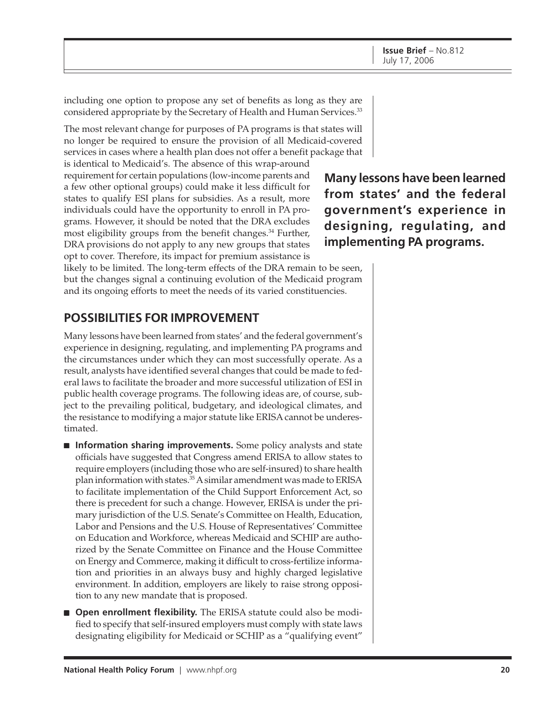including one option to propose any set of benefits as long as they are considered appropriate by the Secretary of Health and Human Services.<sup>33</sup>

The most relevant change for purposes of PA programs is that states will no longer be required to ensure the provision of all Medicaid-covered services in cases where a health plan does not offer a benefit package that

is identical to Medicaid's. The absence of this wrap-around requirement for certain populations (low-income parents and a few other optional groups) could make it less difficult for states to qualify ESI plans for subsidies. As a result, more individuals could have the opportunity to enroll in PA programs. However, it should be noted that the DRA excludes most eligibility groups from the benefit changes.<sup>34</sup> Further, DRA provisions do not apply to any new groups that states opt to cover. Therefore, its impact for premium assistance is

likely to be limited. The long-term effects of the DRA remain to be seen, but the changes signal a continuing evolution of the Medicaid program and its ongoing efforts to meet the needs of its varied constituencies.

## **POSSIBILITIES FOR IMPROVEMENT**

Many lessons have been learned from states' and the federal government's experience in designing, regulating, and implementing PA programs and the circumstances under which they can most successfully operate. As a result, analysts have identified several changes that could be made to federal laws to facilitate the broader and more successful utilization of ESI in public health coverage programs. The following ideas are, of course, subject to the prevailing political, budgetary, and ideological climates, and the resistance to modifying a major statute like ERISA cannot be underestimated.

- **Information sharing improvements.** Some policy analysts and state officials have suggested that Congress amend ERISA to allow states to require employers (including those who are self-insured) to share health plan information with states.35 A similar amendment was made to ERISA to facilitate implementation of the Child Support Enforcement Act, so there is precedent for such a change. However, ERISA is under the primary jurisdiction of the U.S. Senate's Committee on Health, Education, Labor and Pensions and the U.S. House of Representatives' Committee on Education and Workforce, whereas Medicaid and SCHIP are authorized by the Senate Committee on Finance and the House Committee on Energy and Commerce, making it difficult to cross-fertilize information and priorities in an always busy and highly charged legislative environment. In addition, employers are likely to raise strong opposition to any new mandate that is proposed.
- **Open enrollment flexibility.** The ERISA statute could also be modified to specify that self-insured employers must comply with state laws designating eligibility for Medicaid or SCHIP as a "qualifying event"

**Many lessons have been learned from states' and the federal government's experience in designing, regulating, and implementing PA programs.**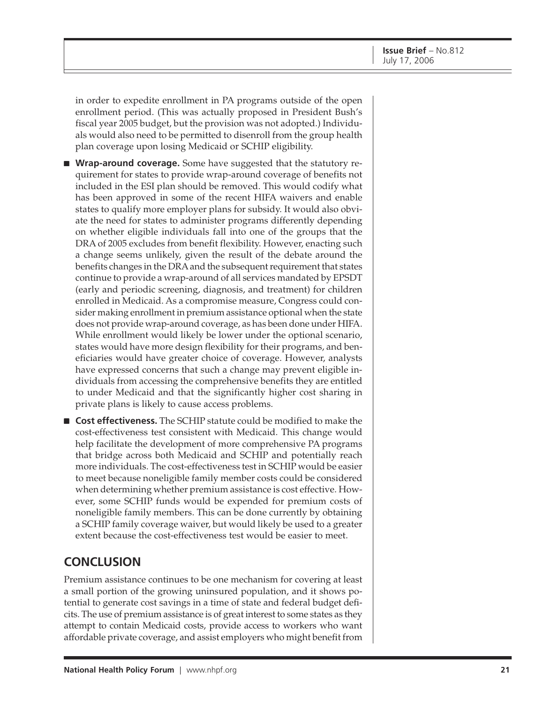in order to expedite enrollment in PA programs outside of the open enrollment period. (This was actually proposed in President Bush's fiscal year 2005 budget, but the provision was not adopted.) Individuals would also need to be permitted to disenroll from the group health plan coverage upon losing Medicaid or SCHIP eligibility.

■ **Wrap-around coverage.** Some have suggested that the statutory requirement for states to provide wrap-around coverage of benefits not included in the ESI plan should be removed. This would codify what has been approved in some of the recent HIFA waivers and enable states to qualify more employer plans for subsidy. It would also obviate the need for states to administer programs differently depending on whether eligible individuals fall into one of the groups that the DRA of 2005 excludes from benefit flexibility. However, enacting such a change seems unlikely, given the result of the debate around the benefits changes in the DRA and the subsequent requirement that states continue to provide a wrap-around of all services mandated by EPSDT (early and periodic screening, diagnosis, and treatment) for children enrolled in Medicaid. As a compromise measure, Congress could consider making enrollment in premium assistance optional when the state does not provide wrap-around coverage, as has been done under HIFA. While enrollment would likely be lower under the optional scenario, states would have more design flexibility for their programs, and beneficiaries would have greater choice of coverage. However, analysts have expressed concerns that such a change may prevent eligible individuals from accessing the comprehensive benefits they are entitled to under Medicaid and that the significantly higher cost sharing in private plans is likely to cause access problems.

■ **Cost effectiveness.** The SCHIP statute could be modified to make the cost-effectiveness test consistent with Medicaid. This change would help facilitate the development of more comprehensive PA programs that bridge across both Medicaid and SCHIP and potentially reach more individuals. The cost-effectiveness test in SCHIP would be easier to meet because noneligible family member costs could be considered when determining whether premium assistance is cost effective. However, some SCHIP funds would be expended for premium costs of noneligible family members. This can be done currently by obtaining a SCHIP family coverage waiver, but would likely be used to a greater extent because the cost-effectiveness test would be easier to meet.

### **CONCLUSION**

Premium assistance continues to be one mechanism for covering at least a small portion of the growing uninsured population, and it shows potential to generate cost savings in a time of state and federal budget deficits. The use of premium assistance is of great interest to some states as they attempt to contain Medicaid costs, provide access to workers who want affordable private coverage, and assist employers who might benefit from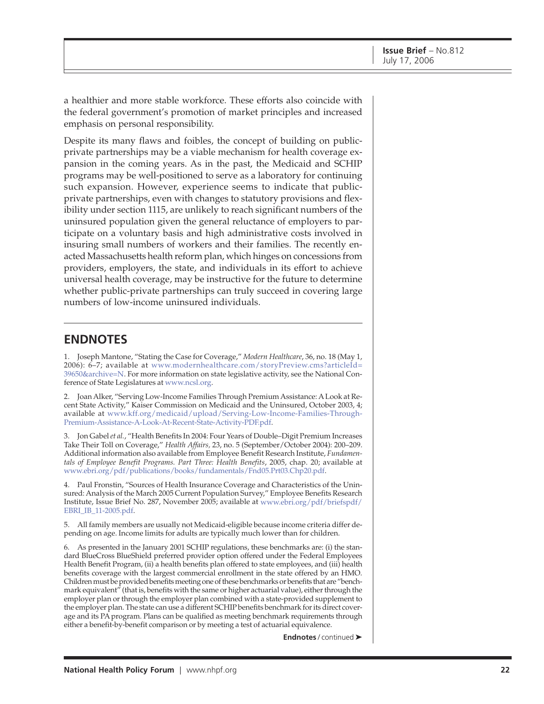a healthier and more stable workforce. These efforts also coincide with the federal government's promotion of market principles and increased emphasis on personal responsibility.

Despite its many flaws and foibles, the concept of building on publicprivate partnerships may be a viable mechanism for health coverage expansion in the coming years. As in the past, the Medicaid and SCHIP programs may be well-positioned to serve as a laboratory for continuing such expansion. However, experience seems to indicate that publicprivate partnerships, even with changes to statutory provisions and flexibility under section 1115, are unlikely to reach significant numbers of the uninsured population given the general reluctance of employers to participate on a voluntary basis and high administrative costs involved in insuring small numbers of workers and their families. The recently enacted Massachusetts health reform plan, which hinges on concessions from providers, employers, the state, and individuals in its effort to achieve universal health coverage, may be instructive for the future to determine whether public-private partnerships can truly succeed in covering large numbers of low-income uninsured individuals.

### **ENDNOTES**

1. Joseph Mantone, "Stating the Case for Coverage," *Modern Healthcare*, 36, no. 18 (May 1, 2006): 6–7; available at [www.modernhealthcare.com/storyPreview.cms?articleId=](http://www.modernhealthcare.com/storyPreview.cms?articleId=39650&archive=N) 39650&archive=N. For more information on state legislative activity, see the National Conference of State Legislatures at [www.ncsl.org.](http://www.ncsl.org)

2. Joan Alker, "Serving Low-Income Families Through Premium Assistance: A Look at Recent State Activity," Kaiser Commission on Medicaid and the Uninsured, October 2003, 4; available at [www.kff.org/medicaid/upload/Serving-Low-Income-Families-Through-](http://www.kff.org/medicaid/upload/Serving-Low-Income-Families-Through-Premium-Assistance-A-Look-At-Recent-State-Activity-PDF.pdf)[Premium-Assistance-A-Look-At-Recent-State-Activity-PDF.pdf.](http://www.kff.org/medicaid/upload/Serving-Low-Income-Families-Through-Premium-Assistance-A-Look-At-Recent-State-Activity-PDF.pdf)

3. Jon Gabel *et al.*, "Health Benefits In 2004: Four Years of Double–Digit Premium Increases Take Their Toll on Coverage," *Health Affairs,* 23, no. 5 (September/October 2004): 200–209. Additional information also available from Employee Benefit Research Institute, *Fundamentals of Employee Benefit Programs. Part Three: Health Benefits*, 2005, chap. 20; available at [www.ebri.org/pdf/publications/books/fundamentals/Fnd05.Prt03.Chp20.pdf.](http://www.ebri.org/pdf/publications/books/fundamentals/Fnd05.Prt03.Chp20.pdf)

4. Paul Fronstin, "Sources of Health Insurance Coverage and Characteristics of the Uninsured: Analysis of the March 2005 Current Population Survey," Employee Benefits Research Institute, Issue Brief No. 287, November 2005; available at [www.ebri.org/pdf/briefspdf/](http://www.ebri.org/pdf/briefspdf/EBRI_IB_11-2005.pdf) EBRI\_IB\_11-2005.pdf.

5. All family members are usually not Medicaid-eligible because income criteria differ depending on age. Income limits for adults are typically much lower than for children.

6. As presented in the January 2001 SCHIP regulations, these benchmarks are: (i) the standard BlueCross BlueShield preferred provider option offered under the Federal Employees Health Benefit Program, (ii) a health benefits plan offered to state employees, and (iii) health benefits coverage with the largest commercial enrollment in the state offered by an HMO. Children must be provided benefits meeting one of these benchmarks or benefits that are "benchmark equivalent<sup> $\ddot{\tau}$ </sup> (that is, benefits with the same or higher actuarial value), either through the employer plan or through the employer plan combined with a state-provided supplement to the employer plan. The state can use a different SCHIP benefits benchmark for its direct coverage and its PA program. Plans can be qualified as meeting benchmark requirements through either a benefit-by-benefit comparison or by meeting a test of actuarial equivalence.

**Endnotes** / continued ➤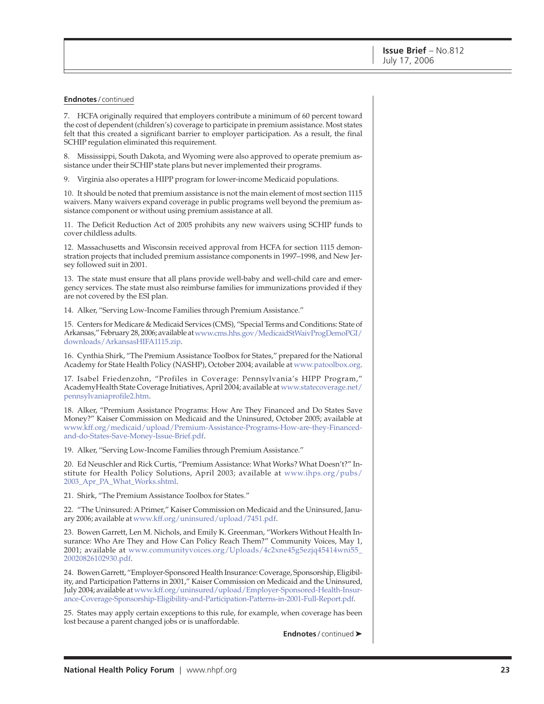#### **Endnotes** / continued

7. HCFA originally required that employers contribute a minimum of 60 percent toward the cost of dependent (children's) coverage to participate in premium assistance. Most states felt that this created a significant barrier to employer participation. As a result, the final SCHIP regulation eliminated this requirement.

8. Mississippi, South Dakota, and Wyoming were also approved to operate premium assistance under their SCHIP state plans but never implemented their programs.

9. Virginia also operates a HIPP program for lower-income Medicaid populations.

10. It should be noted that premium assistance is not the main element of most section 1115 waivers. Many waivers expand coverage in public programs well beyond the premium assistance component or without using premium assistance at all.

11. The Deficit Reduction Act of 2005 prohibits any new waivers using SCHIP funds to cover childless adults.

12. Massachusetts and Wisconsin received approval from HCFA for section 1115 demonstration projects that included premium assistance components in 1997–1998, and New Jersey followed suit in 2001.

13. The state must ensure that all plans provide well-baby and well-child care and emergency services. The state must also reimburse families for immunizations provided if they are not covered by the ESI plan.

14. Alker, "Serving Low-Income Families through Premium Assistance."

15. Centers for Medicare & Medicaid Services (CMS), "Special Terms and Conditions: State of Arkansas," February 28, 2006; available at [www.cms.hhs.gov/MedicaidStWaivProgDemoPGI/](http://www.cms.hhs.gov/MedicaidStWaivProgDemoPGI/downloads/ArkansasHIFA1115.zip) downloads/ArkansasHIFA1115.zip.

16. Cynthia Shirk, "The Premium Assistance Toolbox for States," prepared for the National Academy for State Health Policy (NASHP), October 2004; available at [www.patoolbox.org.](http://www.patoolbox.org)

17. Isabel Friedenzohn, "Profiles in Coverage: Pennsylvania's HIPP Program," AcademyHealth State Coverage Initiatives, April 2004; available at [www.statecoverage.net/](http://www.statecoverage.net/pennsylvaniaprofile2.htm) pennsylvaniaprofile2.htm.

18. Alker, "Premium Assistance Programs: How Are They Financed and Do States Save Money?" Kaiser Commission on Medicaid and the Uninsured, October 2005; available at [www.kff.org/medicaid/upload/Premium-Assistance-Programs-How-are-they-Financed](http://www.kff.org/medicaid/upload/Premium-Assistance-Programs-How-are-they-Financed-and-do-States-Save-Money-Issue-Brief.pdf)and[-do-States-Save-Money-Issue-Brief.pdf.](http://www.kff.org/medicaid/upload/Premium-Assistance-Programs-How-are-they-Financed-and-do-States-Save-Money-Issue-Brief.pdf)

19. Alker, "Serving Low-Income Families through Premium Assistance."

20. Ed Neuschler and Rick Curtis, "Premium Assistance: What Works? What Doesn't?" Institute for Health Policy Solutions, April 2003; available at [www.ihps.org/pubs/](http://www.ihps.org/pubs/2003_Apr_PA_What_Works.shtml) 2003\_Apr\_PA\_What\_Works.shtml.

21. Shirk, "The Premium Assistance Toolbox for States."

22. "The Uninsured: A Primer," Kaiser Commission on Medicaid and the Uninsured, January 2006; available at [www.kff.org/uninsured/upload/7451.pdf.](http://www.kff.org/uninsured/upload/7451.pdf)

23. Bowen Garrett, Len M. Nichols, and Emily K. Greenman, "Workers Without Health Insurance: Who Are They and How Can Policy Reach Them?" Community Voices, May 1, 2001; available at [www.communityvoices.org/Uploads/4c2xne45g5ezjq45414wni55\\_](http://www.communityvoices.org/Uploads/4c2xne45g5ezjq45414wni55_20020826102930.pdf) 20020826102930.pdf.

24. Bowen Garrett, "Employer-Sponsored Health Insurance: Coverage, Sponsorship, Eligibility, and Participation Patterns in 2001," Kaiser Commission on Medicaid and the Uninsured, [July 2004; available at www.kff.org/uninsured/upload/Employer-Sponsored-Health-Insur](http://www.kff.org/uninsured/upload/Employer-Sponsored-Health-Insurance-Coverage-Sponsorship-Eligibility-and-Participation-Patterns-in-2001-Full-Report.pdf)ance-Coverage-Sponsorship-Eligibility-and-Participation-Patterns-in-2001-Full-Report.pdf.

25. States may apply certain exceptions to this rule, for example, when coverage has been lost because a parent changed jobs or is unaffordable.

**Endnotes** / continued ➤